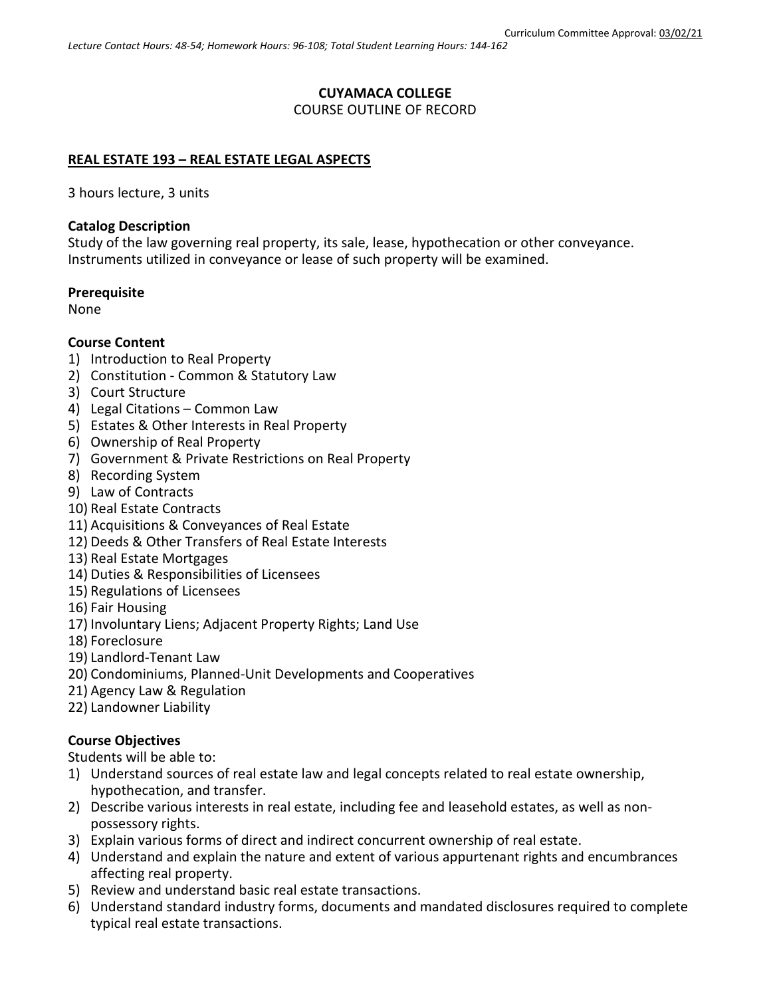### **CUYAMACA COLLEGE** COURSE OUTLINE OF RECORD

## **REAL ESTATE 193 – REAL ESTATE LEGAL ASPECTS**

3 hours lecture, 3 units

### **Catalog Description**

Study of the law governing real property, its sale, lease, hypothecation or other conveyance. Instruments utilized in conveyance or lease of such property will be examined.

#### **Prerequisite**

None

### **Course Content**

- 1) Introduction to Real Property
- 2) Constitution Common & Statutory Law
- 3) Court Structure
- 4) Legal Citations Common Law
- 5) Estates & Other Interests in Real Property
- 6) Ownership of Real Property
- 7) Government & Private Restrictions on Real Property
- 8) Recording System
- 9) Law of Contracts
- 10) Real Estate Contracts
- 11) Acquisitions & Conveyances of Real Estate
- 12) Deeds & Other Transfers of Real Estate Interests
- 13) Real Estate Mortgages
- 14) Duties & Responsibilities of Licensees
- 15) Regulations of Licensees
- 16) Fair Housing
- 17) Involuntary Liens; Adjacent Property Rights; Land Use
- 18) Foreclosure
- 19) Landlord-Tenant Law
- 20) Condominiums, Planned-Unit Developments and Cooperatives
- 21) Agency Law & Regulation
- 22) Landowner Liability

### **Course Objectives**

Students will be able to:

- 1) Understand sources of real estate law and legal concepts related to real estate ownership, hypothecation, and transfer.
- 2) Describe various interests in real estate, including fee and leasehold estates, as well as nonpossessory rights.
- 3) Explain various forms of direct and indirect concurrent ownership of real estate.
- 4) Understand and explain the nature and extent of various appurtenant rights and encumbrances affecting real property.
- 5) Review and understand basic real estate transactions.
- 6) Understand standard industry forms, documents and mandated disclosures required to complete typical real estate transactions.